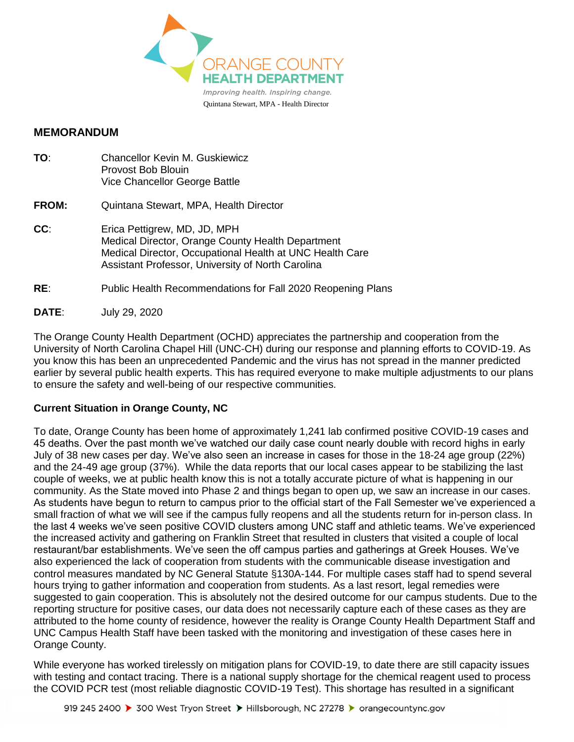

## **MEMORANDUM**

| TO:   | <b>Chancellor Kevin M. Guskiewicz</b><br>Provost Bob Blouin<br>Vice Chancellor George Battle                                                                                                       |
|-------|----------------------------------------------------------------------------------------------------------------------------------------------------------------------------------------------------|
| FROM: | Quintana Stewart, MPA, Health Director                                                                                                                                                             |
| CC:   | Erica Pettigrew, MD, JD, MPH<br>Medical Director, Orange County Health Department<br>Medical Director, Occupational Health at UNC Health Care<br>Assistant Professor, University of North Carolina |
| RE.   | Public Health Recommendations for Fall 2020 Reopening Plans                                                                                                                                        |

**DATE**: July 29, 2020

The Orange County Health Department (OCHD) appreciates the partnership and cooperation from the University of North Carolina Chapel Hill (UNC-CH) during our response and planning efforts to COVID-19. As you know this has been an unprecedented Pandemic and the virus has not spread in the manner predicted earlier by several public health experts. This has required everyone to make multiple adjustments to our plans to ensure the safety and well-being of our respective communities.

## **Current Situation in Orange County, NC**

To date, Orange County has been home of approximately 1,241 lab confirmed positive COVID-19 cases and 45 deaths. Over the past month we've watched our daily case count nearly double with record highs in early July of 38 new cases per day. We've also seen an increase in cases for those in the 18-24 age group (22%) and the 24-49 age group (37%). While the data reports that our local cases appear to be stabilizing the last couple of weeks, we at public health know this is not a totally accurate picture of what is happening in our community. As the State moved into Phase 2 and things began to open up, we saw an increase in our cases. As students have begun to return to campus prior to the official start of the Fall Semester we've experienced a small fraction of what we will see if the campus fully reopens and all the students return for in-person class. In the last 4 weeks we've seen positive COVID clusters among UNC staff and athletic teams. We've experienced the increased activity and gathering on Franklin Street that resulted in clusters that visited a couple of local restaurant/bar establishments. We've seen the off campus parties and gatherings at Greek Houses. We've also experienced the lack of cooperation from students with the communicable disease investigation and control measures mandated by NC General Statute §130A-144. For multiple cases staff had to spend several hours trying to gather information and cooperation from students. As a last resort, legal remedies were suggested to gain cooperation. This is absolutely not the desired outcome for our campus students. Due to the reporting structure for positive cases, our data does not necessarily capture each of these cases as they are attributed to the home county of residence, however the reality is Orange County Health Department Staff and UNC Campus Health Staff have been tasked with the monitoring and investigation of these cases here in Orange County.

While everyone has worked tirelessly on mitigation plans for COVID-19, to date there are still capacity issues with testing and contact tracing. There is a national supply shortage for the chemical reagent used to process the COVID PCR test (most reliable diagnostic COVID-19 Test). This shortage has resulted in a significant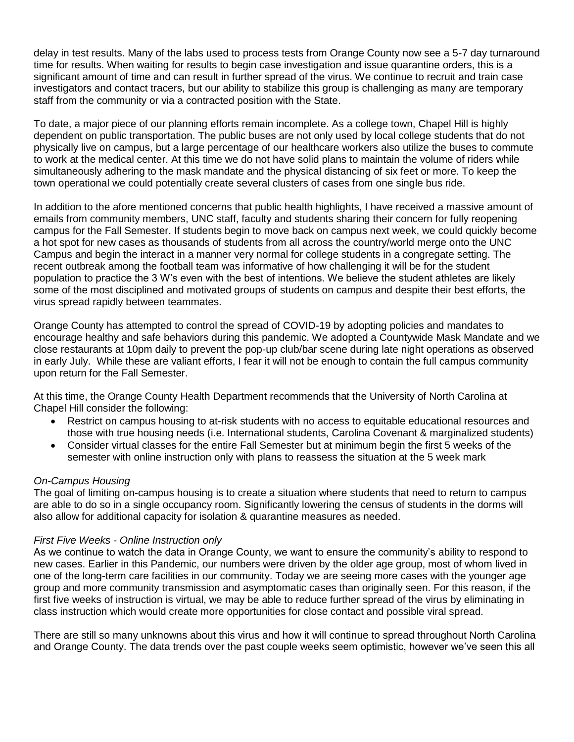delay in test results. Many of the labs used to process tests from Orange County now see a 5-7 day turnaround time for results. When waiting for results to begin case investigation and issue quarantine orders, this is a significant amount of time and can result in further spread of the virus. We continue to recruit and train case investigators and contact tracers, but our ability to stabilize this group is challenging as many are temporary staff from the community or via a contracted position with the State.

To date, a major piece of our planning efforts remain incomplete. As a college town, Chapel Hill is highly dependent on public transportation. The public buses are not only used by local college students that do not physically live on campus, but a large percentage of our healthcare workers also utilize the buses to commute to work at the medical center. At this time we do not have solid plans to maintain the volume of riders while simultaneously adhering to the mask mandate and the physical distancing of six feet or more. To keep the town operational we could potentially create several clusters of cases from one single bus ride.

In addition to the afore mentioned concerns that public health highlights, I have received a massive amount of emails from community members, UNC staff, faculty and students sharing their concern for fully reopening campus for the Fall Semester. If students begin to move back on campus next week, we could quickly become a hot spot for new cases as thousands of students from all across the country/world merge onto the UNC Campus and begin the interact in a manner very normal for college students in a congregate setting. The recent outbreak among the football team was informative of how challenging it will be for the student population to practice the 3 W's even with the best of intentions. We believe the student athletes are likely some of the most disciplined and motivated groups of students on campus and despite their best efforts, the virus spread rapidly between teammates.

Orange County has attempted to control the spread of COVID-19 by adopting policies and mandates to encourage healthy and safe behaviors during this pandemic. We adopted a Countywide Mask Mandate and we close restaurants at 10pm daily to prevent the pop-up club/bar scene during late night operations as observed in early July. While these are valiant efforts, I fear it will not be enough to contain the full campus community upon return for the Fall Semester.

At this time, the Orange County Health Department recommends that the University of North Carolina at Chapel Hill consider the following:

- Restrict on campus housing to at-risk students with no access to equitable educational resources and those with true housing needs (i.e. International students, Carolina Covenant & marginalized students)
- Consider virtual classes for the entire Fall Semester but at minimum begin the first 5 weeks of the semester with online instruction only with plans to reassess the situation at the 5 week mark

## *On-Campus Housing*

The goal of limiting on-campus housing is to create a situation where students that need to return to campus are able to do so in a single occupancy room. Significantly lowering the census of students in the dorms will also allow for additional capacity for isolation & quarantine measures as needed.

## *First Five Weeks - Online Instruction only*

As we continue to watch the data in Orange County, we want to ensure the community's ability to respond to new cases. Earlier in this Pandemic, our numbers were driven by the older age group, most of whom lived in one of the long-term care facilities in our community. Today we are seeing more cases with the younger age group and more community transmission and asymptomatic cases than originally seen. For this reason, if the first five weeks of instruction is virtual, we may be able to reduce further spread of the virus by eliminating in class instruction which would create more opportunities for close contact and possible viral spread.

There are still so many unknowns about this virus and how it will continue to spread throughout North Carolina and Orange County. The data trends over the past couple weeks seem optimistic, however we've seen this all